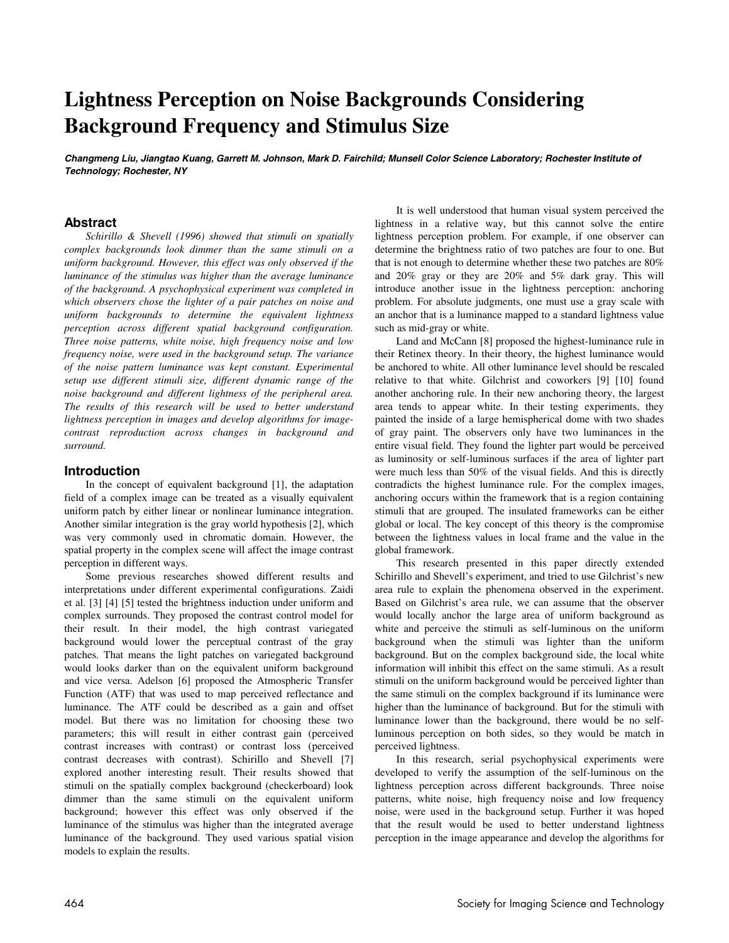# **Lightness Perception on Noise Backgrounds Considering Background Frequency and Stimulus Size**

**Changmeng Liu, Jiangtao Kuang, Garrett M. Johnson, Mark D. Fairchild; Munsell Color Science Laboratory; Rochester Institute of Technology; Rochester, NY** 

## **Abstract**

*Schirillo & Shevell (1996) showed that stimuli on spatially complex backgrounds look dimmer than the same stimuli on a uniform background. However, this effect was only observed if the luminance of the stimulus was higher than the average luminance of the background. A psychophysical experiment was completed in which observers chose the lighter of a pair patches on noise and uniform backgrounds to determine the equivalent lightness perception across different spatial background configuration. Three noise patterns, white noise, high frequency noise and low frequency noise, were used in the background setup. The variance of the noise pattern luminance was kept constant. Experimental setup use different stimuli size, different dynamic range of the noise background and different lightness of the peripheral area. The results of this research will be used to better understand lightness perception in images and develop algorithms for imagecontrast reproduction across changes in background and surround.* 

#### **Introduction**

In the concept of equivalent background [1], the adaptation field of a complex image can be treated as a visually equivalent uniform patch by either linear or nonlinear luminance integration. Another similar integration is the gray world hypothesis [2], which was very commonly used in chromatic domain. However, the spatial property in the complex scene will affect the image contrast perception in different ways.

Some previous researches showed different results and interpretations under different experimental configurations. Zaidi et al. [3] [4] [5] tested the brightness induction under uniform and complex surrounds. They proposed the contrast control model for their result. In their model, the high contrast variegated background would lower the perceptual contrast of the gray patches. That means the light patches on variegated background would looks darker than on the equivalent uniform background and vice versa. Adelson [6] proposed the Atmospheric Transfer Function (ATF) that was used to map perceived reflectance and luminance. The ATF could be described as a gain and offset model. But there was no limitation for choosing these two parameters; this will result in either contrast gain (perceived contrast increases with contrast) or contrast loss (perceived contrast decreases with contrast). Schirillo and Shevell [7] explored another interesting result. Their results showed that stimuli on the spatially complex background (checkerboard) look dimmer than the same stimuli on the equivalent uniform background; however this effect was only observed if the luminance of the stimulus was higher than the integrated average luminance of the background. They used various spatial vision models to explain the results.

It is well understood that human visual system perceived the lightness in a relative way, but this cannot solve the entire lightness perception problem. For example, if one observer can determine the brightness ratio of two patches are four to one. But that is not enough to determine whether these two patches are 80% and 20% gray or they are 20% and 5% dark gray. This will introduce another issue in the lightness perception: anchoring problem. For absolute judgments, one must use a gray scale with an anchor that is a luminance mapped to a standard lightness value such as mid-gray or white.

Land and McCann [8] proposed the highest-luminance rule in their Retinex theory. In their theory, the highest luminance would be anchored to white. All other luminance level should be rescaled relative to that white. Gilchrist and coworkers [9] [10] found another anchoring rule. In their new anchoring theory, the largest area tends to appear white. In their testing experiments, they painted the inside of a large hemispherical dome with two shades of gray paint. The observers only have two luminances in the entire visual field. They found the lighter part would be perceived as luminosity or self-luminous surfaces if the area of lighter part were much less than 50% of the visual fields. And this is directly contradicts the highest luminance rule. For the complex images, anchoring occurs within the framework that is a region containing stimuli that are grouped. The insulated frameworks can be either global or local. The key concept of this theory is the compromise between the lightness values in local frame and the value in the global framework.

This research presented in this paper directly extended Schirillo and Shevell's experiment, and tried to use Gilchrist's new area rule to explain the phenomena observed in the experiment. Based on Gilchrist's area rule, we can assume that the observer would locally anchor the large area of uniform background as white and perceive the stimuli as self-luminous on the uniform background when the stimuli was lighter than the uniform background. But on the complex background side, the local white information will inhibit this effect on the same stimuli. As a result stimuli on the uniform background would be perceived lighter than the same stimuli on the complex background if its luminance were higher than the luminance of background. But for the stimuli with luminance lower than the background, there would be no selfluminous perception on both sides, so they would be match in perceived lightness.

In this research, serial psychophysical experiments were developed to verify the assumption of the self-luminous on the lightness perception across different backgrounds. Three noise patterns, white noise, high frequency noise and low frequency noise, were used in the background setup. Further it was hoped that the result would be used to better understand lightness perception in the image appearance and develop the algorithms for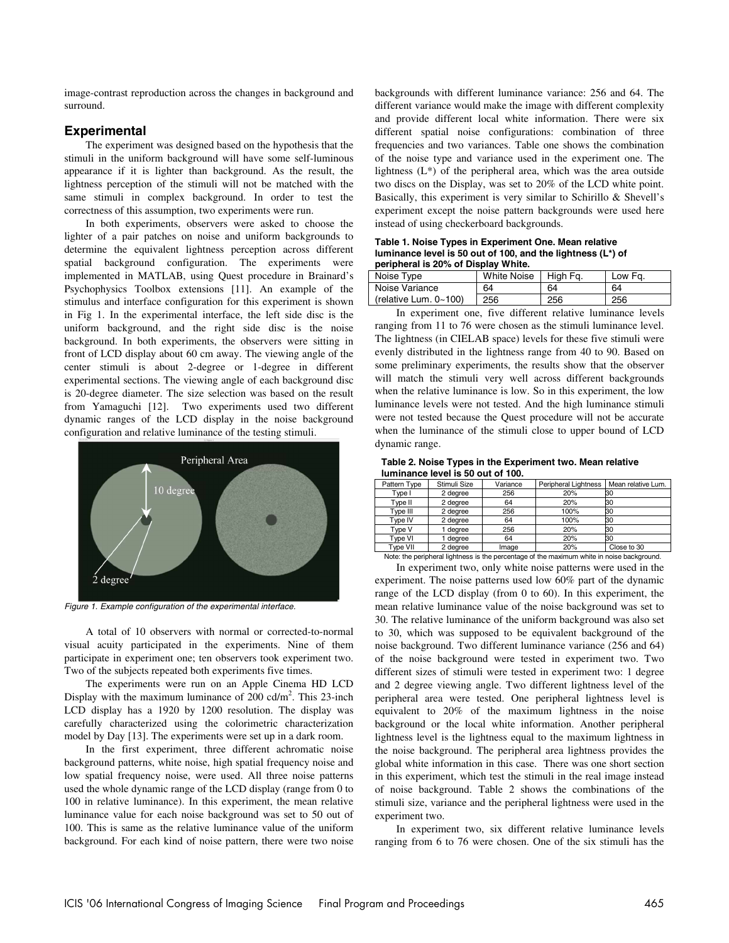image-contrast reproduction across the changes in background and surround.

# **Experimental**

The experiment was designed based on the hypothesis that the stimuli in the uniform background will have some self-luminous appearance if it is lighter than background. As the result, the lightness perception of the stimuli will not be matched with the same stimuli in complex background. In order to test the correctness of this assumption, two experiments were run.

In both experiments, observers were asked to choose the lighter of a pair patches on noise and uniform backgrounds to determine the equivalent lightness perception across different spatial background configuration. The experiments were implemented in MATLAB, using Quest procedure in Brainard's Psychophysics Toolbox extensions [11]. An example of the stimulus and interface configuration for this experiment is shown in Fig 1. In the experimental interface, the left side disc is the uniform background, and the right side disc is the noise background. In both experiments, the observers were sitting in front of LCD display about 60 cm away. The viewing angle of the center stimuli is about 2-degree or 1-degree in different experimental sections. The viewing angle of each background disc is 20-degree diameter. The size selection was based on the result from Yamaguchi [12]. Two experiments used two different dynamic ranges of the LCD display in the noise background configuration and relative luminance of the testing stimuli.



Figure 1. Example configuration of the experimental interface.

A total of 10 observers with normal or corrected-to-normal visual acuity participated in the experiments. Nine of them participate in experiment one; ten observers took experiment two. Two of the subjects repeated both experiments five times.

The experiments were run on an Apple Cinema HD LCD Display with the maximum luminance of 200 cd/m<sup>2</sup>. This 23-inch LCD display has a 1920 by 1200 resolution. The display was carefully characterized using the colorimetric characterization model by Day [13]. The experiments were set up in a dark room.

In the first experiment, three different achromatic noise background patterns, white noise, high spatial frequency noise and low spatial frequency noise, were used. All three noise patterns used the whole dynamic range of the LCD display (range from 0 to 100 in relative luminance). In this experiment, the mean relative luminance value for each noise background was set to 50 out of 100. This is same as the relative luminance value of the uniform background. For each kind of noise pattern, there were two noise

backgrounds with different luminance variance: 256 and 64. The different variance would make the image with different complexity and provide different local white information. There were six different spatial noise configurations: combination of three frequencies and two variances. Table one shows the combination of the noise type and variance used in the experiment one. The lightness (L\*) of the peripheral area, which was the area outside two discs on the Display, was set to 20% of the LCD white point. Basically, this experiment is very similar to Schirillo & Shevell's experiment except the noise pattern backgrounds were used here instead of using checkerboard backgrounds.

**Table 1. Noise Types in Experiment One. Mean relative luminance level is 50 out of 100, and the lightness (L\*) of peripheral is 20% of Display White.** 

| Noise Type                    | <b>White Noise</b> | High Fg. | Low Fg. |
|-------------------------------|--------------------|----------|---------|
| Noise Variance                | 64                 | 64       | 64      |
| (relative Lum, $0 \sim 100$ ) | 256                | 256      | 256     |
|                               |                    |          |         |

In experiment one, five different relative luminance levels ranging from 11 to 76 were chosen as the stimuli luminance level. The lightness (in CIELAB space) levels for these five stimuli were evenly distributed in the lightness range from 40 to 90. Based on some preliminary experiments, the results show that the observer will match the stimuli very well across different backgrounds when the relative luminance is low. So in this experiment, the low luminance levels were not tested. And the high luminance stimuli were not tested because the Quest procedure will not be accurate when the luminance of the stimuli close to upper bound of LCD dynamic range.

**Table 2. Noise Types in the Experiment two. Mean relative luminance level is 50 out of 100.** 

| Pattern Type                                                                               | Stimuli Size | Variance | Peripheral Lightness | Mean relative Lum. |  |
|--------------------------------------------------------------------------------------------|--------------|----------|----------------------|--------------------|--|
| Type I                                                                                     | 2 degree     | 256      | 20%                  | 30                 |  |
| Type II                                                                                    | 2 degree     | 64       | 20%                  | 30                 |  |
| Type III                                                                                   | 2 degree     | 256      | 100%                 | 30                 |  |
| Type IV                                                                                    | 2 degree     | 64       | 100%                 | 30                 |  |
| Type V                                                                                     | 1 degree     | 256      | 20%                  | 30                 |  |
| Type VI                                                                                    | 1 dearee     | 64       | 20%                  | 30                 |  |
| <b>Type VII</b>                                                                            | 2 degree     | Image    | 20%                  | Close to 30        |  |
| Note: the peripheral lightness is the percentage of the maximum white in noise background. |              |          |                      |                    |  |

In experiment two, only white noise patterns were used in the experiment. The noise patterns used low 60% part of the dynamic range of the LCD display (from 0 to 60). In this experiment, the mean relative luminance value of the noise background was set to 30. The relative luminance of the uniform background was also set to 30, which was supposed to be equivalent background of the noise background. Two different luminance variance (256 and 64) of the noise background were tested in experiment two. Two different sizes of stimuli were tested in experiment two: 1 degree and 2 degree viewing angle. Two different lightness level of the peripheral area were tested. One peripheral lightness level is equivalent to 20% of the maximum lightness in the noise background or the local white information. Another peripheral lightness level is the lightness equal to the maximum lightness in the noise background. The peripheral area lightness provides the global white information in this case. There was one short section in this experiment, which test the stimuli in the real image instead of noise background. Table 2 shows the combinations of the stimuli size, variance and the peripheral lightness were used in the experiment two.

In experiment two, six different relative luminance levels ranging from 6 to 76 were chosen. One of the six stimuli has the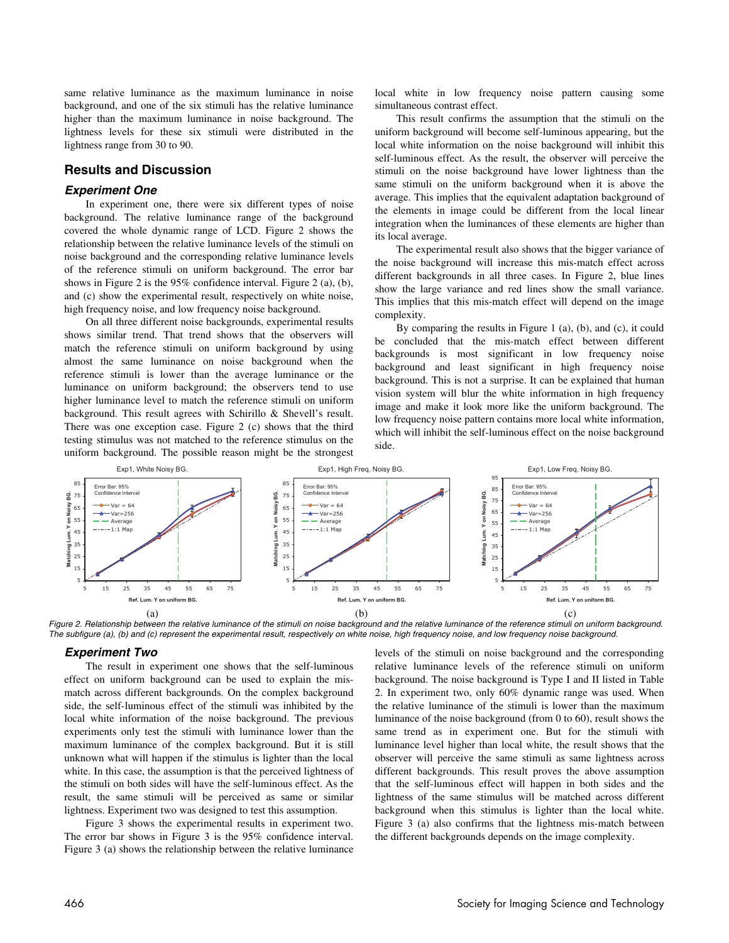same relative luminance as the maximum luminance in noise background, and one of the six stimuli has the relative luminance higher than the maximum luminance in noise background. The lightness levels for these six stimuli were distributed in the lightness range from 30 to 90.

# **Results and Discussion**

#### **Experiment One**

In experiment one, there were six different types of noise background. The relative luminance range of the background covered the whole dynamic range of LCD. Figure 2 shows the relationship between the relative luminance levels of the stimuli on noise background and the corresponding relative luminance levels of the reference stimuli on uniform background. The error bar shows in Figure 2 is the 95% confidence interval. Figure 2 (a), (b), and (c) show the experimental result, respectively on white noise, high frequency noise, and low frequency noise background.

On all three different noise backgrounds, experimental results shows similar trend. That trend shows that the observers will match the reference stimuli on uniform background by using almost the same luminance on noise background when the reference stimuli is lower than the average luminance or the luminance on uniform background; the observers tend to use higher luminance level to match the reference stimuli on uniform background. This result agrees with Schirillo & Shevell's result. There was one exception case. Figure 2 (c) shows that the third testing stimulus was not matched to the reference stimulus on the uniform background. The possible reason might be the strongest local white in low frequency noise pattern causing some simultaneous contrast effect.

This result confirms the assumption that the stimuli on the uniform background will become self-luminous appearing, but the local white information on the noise background will inhibit this self-luminous effect. As the result, the observer will perceive the stimuli on the noise background have lower lightness than the same stimuli on the uniform background when it is above the average. This implies that the equivalent adaptation background of the elements in image could be different from the local linear integration when the luminances of these elements are higher than its local average.

The experimental result also shows that the bigger variance of the noise background will increase this mis-match effect across different backgrounds in all three cases. In Figure 2, blue lines show the large variance and red lines show the small variance. This implies that this mis-match effect will depend on the image complexity.

By comparing the results in Figure 1 (a), (b), and (c), it could be concluded that the mis-match effect between different backgrounds is most significant in low frequency noise background and least significant in high frequency noise background. This is not a surprise. It can be explained that human vision system will blur the white information in high frequency image and make it look more like the uniform background. The low frequency noise pattern contains more local white information, which will inhibit the self-luminous effect on the noise background side.



Figure 2. Relationship between the relative luminance of the stimuli on noise background and the relative luminance of the reference stimuli on uniform background. The subfigure (a), (b) and (c) represent the experimental result, respectively on white noise, high frequency noise, and low frequency noise background.

#### **Experiment Two**

The result in experiment one shows that the self-luminous effect on uniform background can be used to explain the mismatch across different backgrounds. On the complex background side, the self-luminous effect of the stimuli was inhibited by the local white information of the noise background. The previous experiments only test the stimuli with luminance lower than the maximum luminance of the complex background. But it is still unknown what will happen if the stimulus is lighter than the local white. In this case, the assumption is that the perceived lightness of the stimuli on both sides will have the self-luminous effect. As the result, the same stimuli will be perceived as same or similar lightness. Experiment two was designed to test this assumption.

Figure 3 shows the experimental results in experiment two. The error bar shows in Figure 3 is the 95% confidence interval. Figure 3 (a) shows the relationship between the relative luminance levels of the stimuli on noise background and the corresponding relative luminance levels of the reference stimuli on uniform background. The noise background is Type I and II listed in Table 2. In experiment two, only 60% dynamic range was used. When the relative luminance of the stimuli is lower than the maximum luminance of the noise background (from 0 to 60), result shows the same trend as in experiment one. But for the stimuli with luminance level higher than local white, the result shows that the observer will perceive the same stimuli as same lightness across different backgrounds. This result proves the above assumption that the self-luminous effect will happen in both sides and the lightness of the same stimulus will be matched across different background when this stimulus is lighter than the local white. Figure 3 (a) also confirms that the lightness mis-match between the different backgrounds depends on the image complexity.